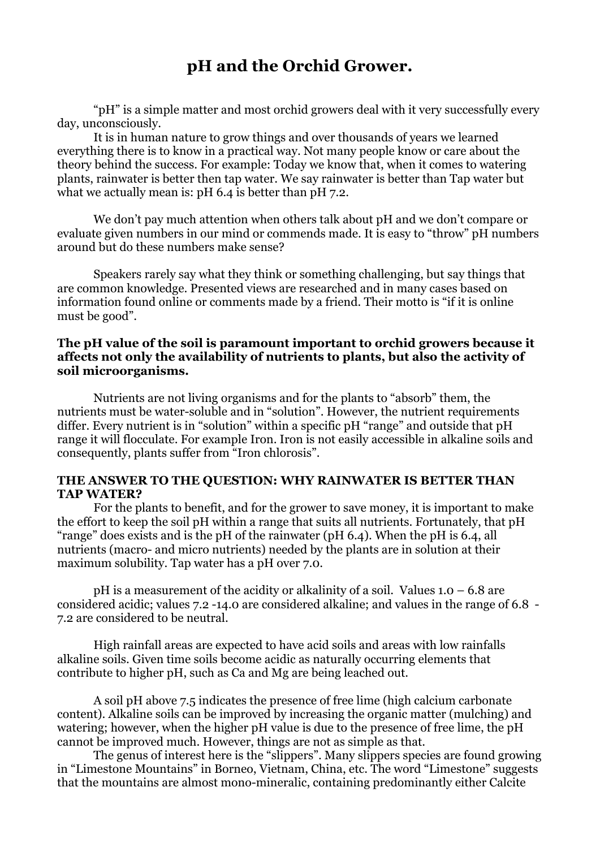## **pH and the Orchid Grower.**

"pH" is a simple matter and most orchid growers deal with it very successfully every day, unconsciously.

It is in human nature to grow things and over thousands of years we learned everything there is to know in a practical way. Not many people know or care about the theory behind the success. For example: Today we know that, when it comes to watering plants, rainwater is better then tap water. We say rainwater is better than Tap water but what we actually mean is: pH 6.4 is better than pH 7.2.

We don't pay much attention when others talk about pH and we don't compare or evaluate given numbers in our mind or commends made. It is easy to "throw" pH numbers around but do these numbers make sense?

Speakers rarely say what they think or something challenging, but say things that are common knowledge. Presented views are researched and in many cases based on information found online or comments made by a friend. Their motto is "if it is online must be good".

## **The pH value of the soil is paramount important to orchid growers because it affects not only the availability of nutrients to plants, but also the activity of soil microorganisms.**

Nutrients are not living organisms and for the plants to "absorb" them, the nutrients must be water-soluble and in "solution". However, the nutrient requirements differ. Every nutrient is in "solution" within a specific pH "range" and outside that pH range it will flocculate. For example Iron. Iron is not easily accessible in alkaline soils and consequently, plants suffer from "Iron chlorosis".

## **THE ANSWER TO THE QUESTION: WHY RAINWATER IS BETTER THAN TAP WATER?**

For the plants to benefit, and for the grower to save money, it is important to make the effort to keep the soil pH within a range that suits all nutrients. Fortunately, that pH "range" does exists and is the pH of the rainwater (pH 6.4). When the pH is 6.4, all nutrients (macro- and micro nutrients) needed by the plants are in solution at their maximum solubility. Tap water has a pH over 7.0.

 $pH$  is a measurement of the acidity or alkalinity of a soil. Values  $1.0 - 6.8$  are considered acidic; values 7.2 -14.0 are considered alkaline; and values in the range of 6.8 - 7.2 are considered to be neutral.

High rainfall areas are expected to have acid soils and areas with low rainfalls alkaline soils. Given time soils become acidic as naturally occurring elements that contribute to higher pH, such as Ca and Mg are being leached out.

A soil pH above 7.5 indicates the presence of free lime (high calcium carbonate content). Alkaline soils can be improved by increasing the organic matter (mulching) and watering; however, when the higher pH value is due to the presence of free lime, the pH cannot be improved much. However, things are not as simple as that.

The genus of interest here is the "slippers". Many slippers species are found growing in "Limestone Mountains" in Borneo, Vietnam, China, etc. The word "Limestone" suggests that the mountains are almost mono-mineralic, containing predominantly either Calcite